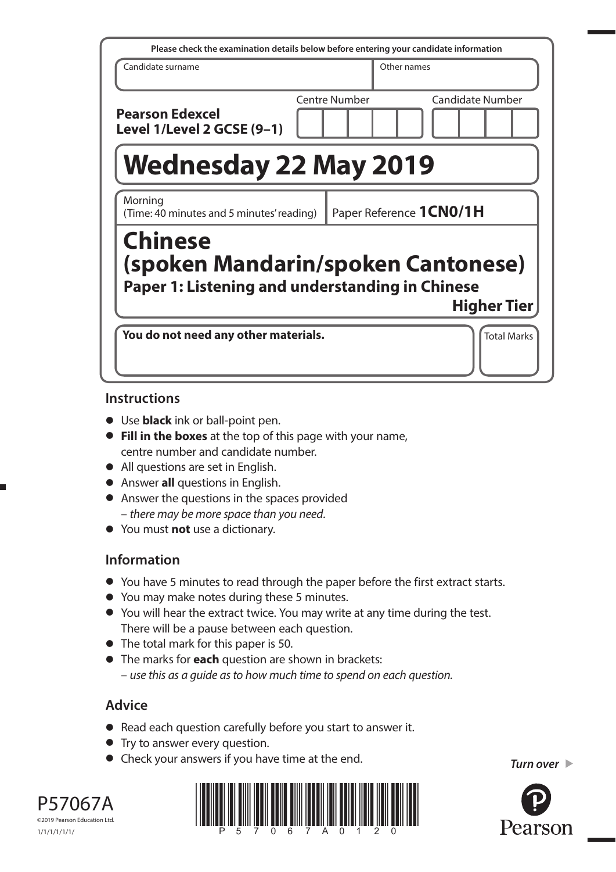| Candidate surname                                                                                       |               | Please check the examination details below before entering your candidate information<br>Other names |
|---------------------------------------------------------------------------------------------------------|---------------|------------------------------------------------------------------------------------------------------|
| <b>Pearson Edexcel</b><br>Level 1/Level 2 GCSE (9-1)                                                    | Centre Number | <b>Candidate Number</b>                                                                              |
| <b>Wednesday 22 May 2019</b>                                                                            |               |                                                                                                      |
| Morning<br>(Time: 40 minutes and 5 minutes' reading)                                                    |               | Paper Reference 1CN0/1H                                                                              |
|                                                                                                         |               |                                                                                                      |
| <b>Chinese</b><br>(spoken Mandarin/spoken Cantonese)<br>Paper 1: Listening and understanding in Chinese |               | <b>Higher Tier</b>                                                                                   |

### **Instructions**

- Use **black** ink or ball-point pen.
- **Fill in the boxes** at the top of this page with your name, centre number and candidate number.
- All questions are set in English.
- Answer **all** questions in English.
- Answer the questions in the spaces provided – there may be more space than you need.
- You must **not** use a dictionary.

### **Information**

- You have 5 minutes to read through the paper before the first extract starts.
- You may make notes during these 5 minutes.
- You will hear the extract twice. You may write at any time during the test. There will be a pause between each question.
- The total mark for this paper is 50.
- The marks for **each** question are shown in brackets: – use this as a guide as to how much time to spend on each question.

## **Advice**

- Read each question carefully before you start to answer it.
- Try to answer every question.
- Check your answers if you have time at the end.

*Turn over* 



©2019 Pearson Education Ltd. 1/1/1/1/1/1/

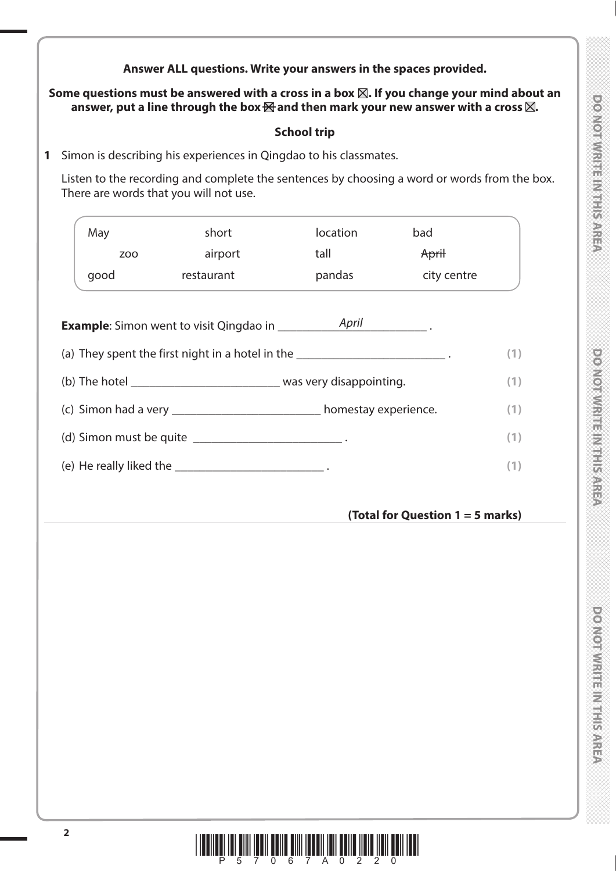#### **Answer ALL questions. Write your answers in the spaces provided.**

#### Some questions must be answered with a cross in a box  $\boxtimes$ . If you change your mind about an answer, put a line through the box  $\boxtimes$  and then mark your new answer with a cross  $\boxtimes$ .

#### **School trip**

**1** Simon is describing his experiences in Qingdao to his classmates.

 Listen to the recording and complete the sentences by choosing a word or words from the box. There are words that you will not use.

| May  | short                                                                    | location | bad         |
|------|--------------------------------------------------------------------------|----------|-------------|
| ZOO  | airport                                                                  | tall     | April       |
| good | restaurant                                                               | pandas   | city centre |
|      |                                                                          |          |             |
|      |                                                                          |          |             |
|      | (a) They spent the first night in a hotel in the $\Box$                  |          |             |
|      | (b) The hotel __________________________________ was very disappointing. |          |             |
|      |                                                                          |          |             |
|      |                                                                          |          |             |
|      | (e) He really liked the ________________________________.                |          |             |

## **(Total for Question 1 = 5 marks)**

**DO NOTWRITEIN FIRSTREA** 

DO NOTWRITE IN THIS AREA

DO NOT WRITE IN THIS AREA

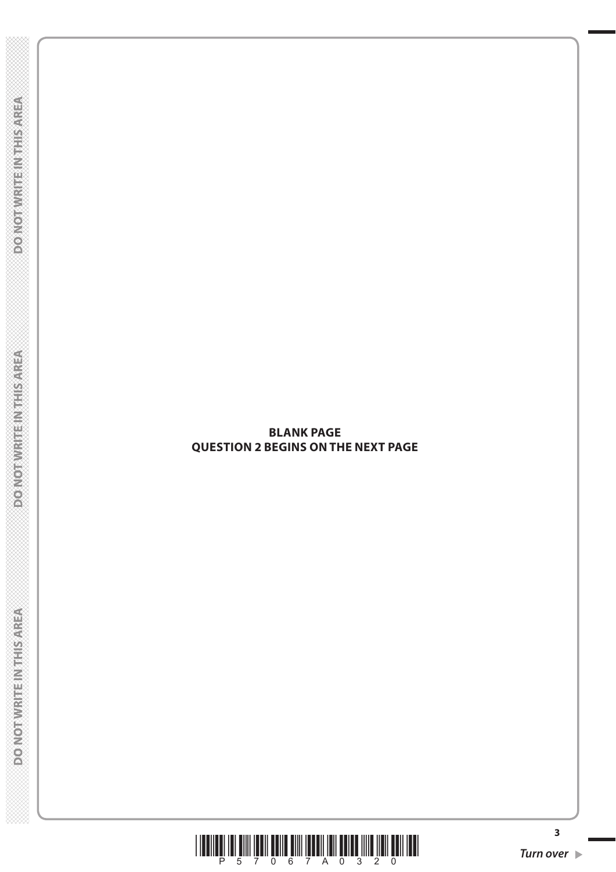**DONOTWRITE INTHISAREA** 

#### **BLANK PAGE QUESTION 2 BEGINS ON THE NEXT PAGE**

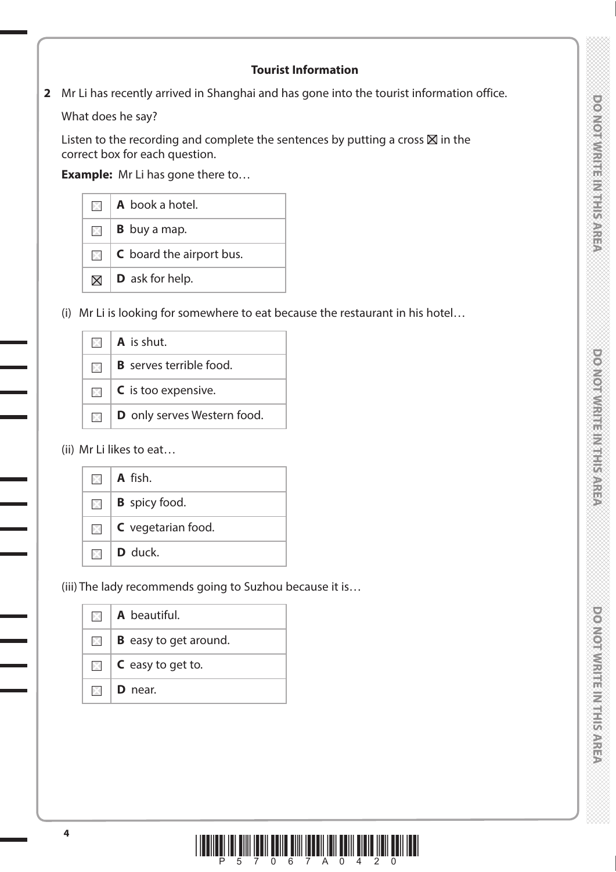**DO NOTWRITE MITTERAREA** 

DO NOTWRITE IN THIS AREA

## **Tourist Information**

**2** Mr Li has recently arrived in Shanghai and has gone into the tourist information office.

What does he say?

Listen to the recording and complete the sentences by putting a cross  $\boxtimes$  in the correct box for each question.

**Example:** Mr Li has gone there to...

| $\times$    | A book a hotel.                 |
|-------------|---------------------------------|
| X           | <b>B</b> buy a map.             |
| $\times$    | <b>C</b> board the airport bus. |
| $\boxtimes$ | <b>D</b> ask for help.          |

(i) Mr Li is looking for somewhere to eat because the restaurant in his hotel…

| $\mathbb{R}$ | A is shut.                         |
|--------------|------------------------------------|
| ÞЗ           | <b>B</b> serves terrible food.     |
| X            | C is too expensive.                |
| $\times$     | <b>D</b> only serves Western food. |

(ii) Mr Li likes to eat…

|                | A fish.              |
|----------------|----------------------|
| DК             | <b>B</b> spicy food. |
| $>\frac{1}{2}$ | C vegetarian food.   |
|                | <b>D</b> duck.       |

(iii) The lady recommends going to Suzhou because it is…

| DE C | A beautiful.                 |
|------|------------------------------|
| ÞЗ   | <b>B</b> easy to get around. |
| ÞЗ   | C easy to get to.            |
|      | <b>D</b> near.               |

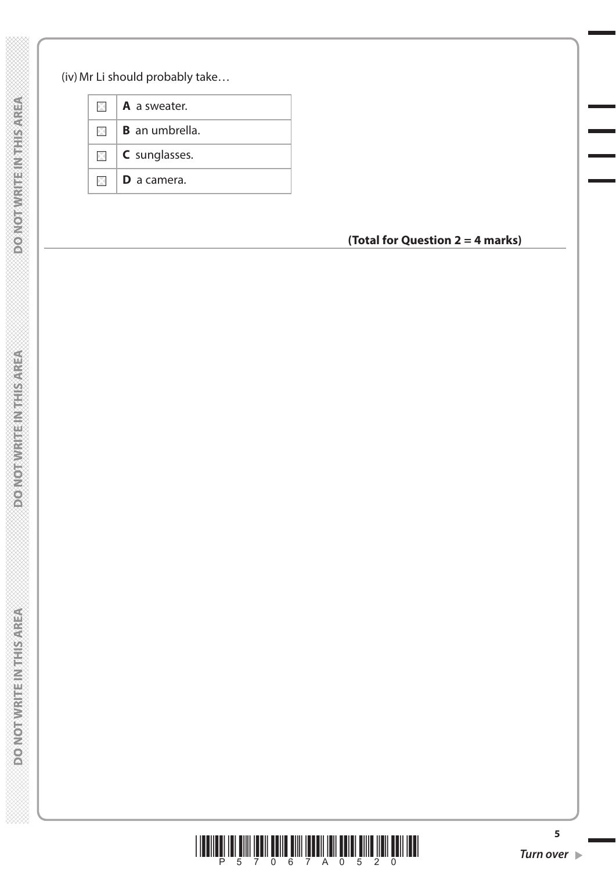### (iv) Mr Li should probably take…

| ÞЗ | <b>A</b> a sweater.   |
|----|-----------------------|
|    | <b>B</b> an umbrella. |
| ÞЗ | C sunglasses.         |
|    | $D$ a camera.         |

**(Total for Question 2 = 4 marks)**

**DO NOTIVE RESINTED AT 2** 

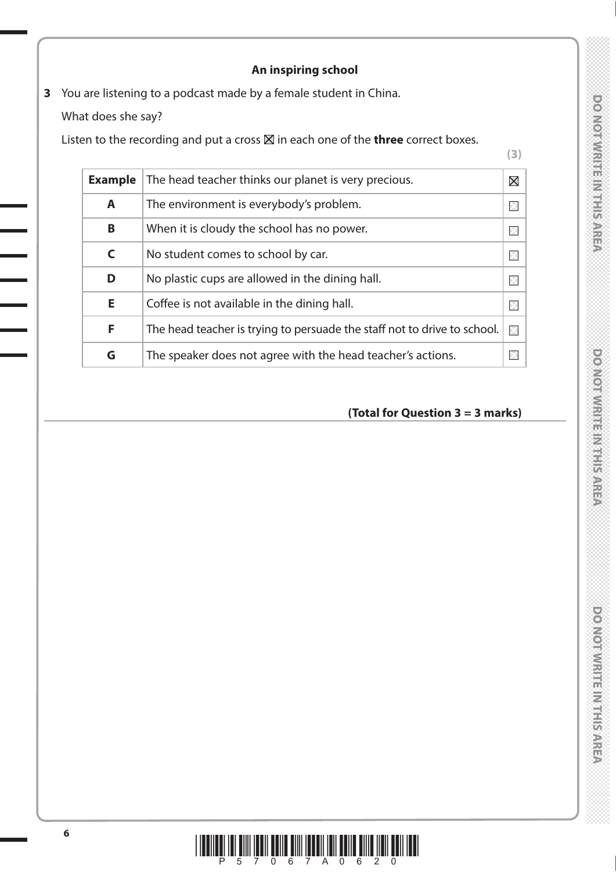**(3)**

# **DONORWRITE MITTLEARER**

# DO NOT WRITE IN THIS AREA

## **An inspiring school**

**3** You are listening to a podcast made by a female student in China.

What does she say?

Listen to the recording and put a cross  $\boxtimes$  in each one of the **three** correct boxes.

| <b>Example</b> | The head teacher thinks our planet is very precious.                     | $\boxtimes$ |
|----------------|--------------------------------------------------------------------------|-------------|
| A              | The environment is everybody's problem.                                  | X           |
| B              | When it is cloudy the school has no power.                               | ÞК          |
| C              | No student comes to school by car.                                       | $\times$    |
| D              | No plastic cups are allowed in the dining hall.                          | ÞК          |
| Е              | Coffee is not available in the dining hall.                              | $\times$    |
| F              | The head teacher is trying to persuade the staff not to drive to school. | $\times$    |
| G              | The speaker does not agree with the head teacher's actions.              |             |

### **(Total for Question 3 = 3 marks)**

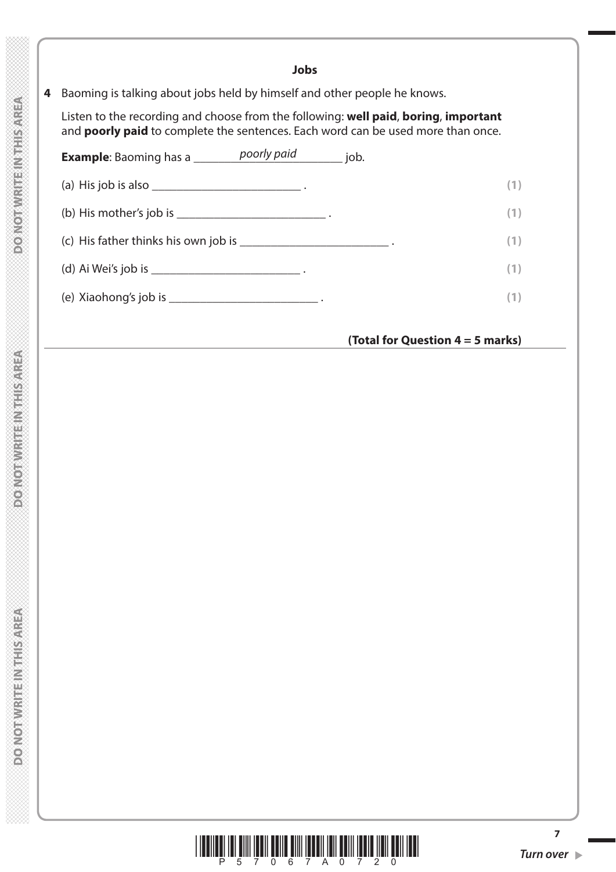#### **Jobs**

**4** Baoming is talking about jobs held by himself and other people he knows.

 Listen to the recording and choose from the following: **well paid**, **boring**, **important**  and **poorly paid** to complete the sentences. Each word can be used more than once.

| <b>Example:</b> Baoming has a _________ poorly paid ________ job.                                                                                                                                                                                                                             |     |
|-----------------------------------------------------------------------------------------------------------------------------------------------------------------------------------------------------------------------------------------------------------------------------------------------|-----|
| (a) His job is also __________________________________.                                                                                                                                                                                                                                       |     |
|                                                                                                                                                                                                                                                                                               |     |
| (c) His father thinks his own job is $\frac{1}{2}$ = $\frac{1}{2}$ = $\frac{1}{2}$ = $\frac{1}{2}$ = $\frac{1}{2}$ = $\frac{1}{2}$ = $\frac{1}{2}$ = $\frac{1}{2}$ = $\frac{1}{2}$ = $\frac{1}{2}$ = $\frac{1}{2}$ = $\frac{1}{2}$ = $\frac{1}{2}$ = $\frac{1}{2}$ = $\frac{1}{2}$ = $\frac{$ | (1) |
|                                                                                                                                                                                                                                                                                               |     |
|                                                                                                                                                                                                                                                                                               |     |
|                                                                                                                                                                                                                                                                                               |     |

**(Total for Question 4 = 5 marks)**



**7**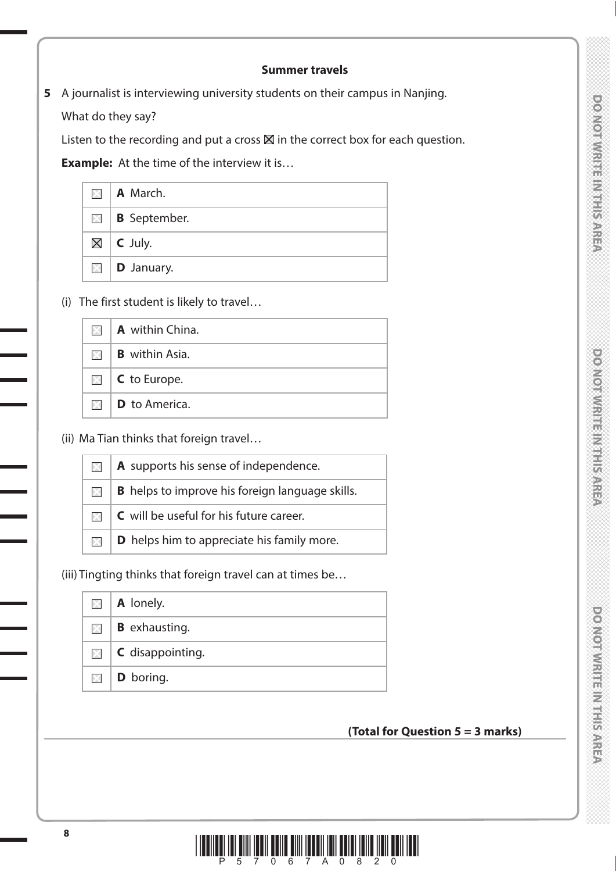# DO NOT WRITE IN THIS AREA

### **Summer travels**

**5** A journalist is interviewing university students on their campus in Nanjing.

What do they say?

Listen to the recording and put a cross  $\boxtimes$  in the correct box for each question.

 **Example:** At the time of the interview it is…

| $\times$ | <b>A</b> March.                   |
|----------|-----------------------------------|
|          | $\boxtimes$   <b>B</b> September. |
|          | $\boxtimes$   C July.             |
|          | $\Box$ <b>D</b> January.          |

(i) The first student is likely to travel…

|               | $\blacksquare$   A within China. |
|---------------|----------------------------------|
| $\boxtimes$ 1 | <b>B</b> within Asia.            |
|               | $\Box$   <b>C</b> to Europe.     |
| $\times$      | <b>D</b> to America.             |

(ii) Ma Tian thinks that foreign travel…

| ×            | A supports his sense of independence.                  |
|--------------|--------------------------------------------------------|
| X.           | <b>B</b> helps to improve his foreign language skills. |
| $\times$     | C will be useful for his future career.                |
| $\mathbb{R}$ | <b>D</b> helps him to appreciate his family more.      |

(iii) Tingting thinks that foreign travel can at times be…

| $\mathsf{R}^-$ | <b>A</b> lonely.        |
|----------------|-------------------------|
| $\times$ 1     | <b>B</b> exhausting.    |
| $\times$ 1     | <b>C</b> disappointing. |
| $\times$ 1     | <b>D</b> boring.        |

#### **(Total for Question 5 = 3 marks)**

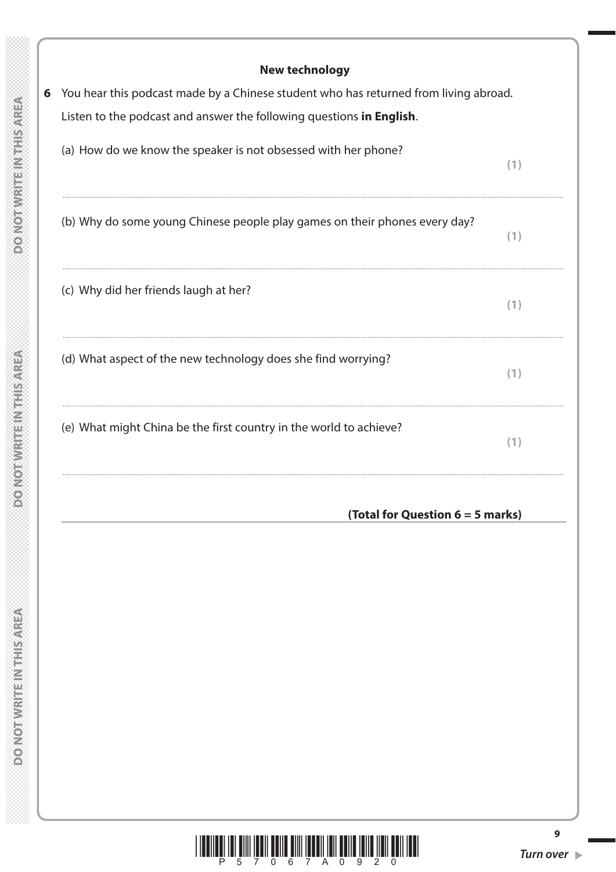| <b>New technology</b><br>You hear this podcast made by a Chinese student who has returned from living abroad. |     |
|---------------------------------------------------------------------------------------------------------------|-----|
| Listen to the podcast and answer the following questions in English.                                          |     |
| (a) How do we know the speaker is not obsessed with her phone?                                                | (1) |
| (b) Why do some young Chinese people play games on their phones every day?                                    | (1) |
| (c) Why did her friends laugh at her?                                                                         | (1) |
| (d) What aspect of the new technology does she find worrying?                                                 | (1) |
| (e) What might China be the first country in the world to achieve?                                            | (1) |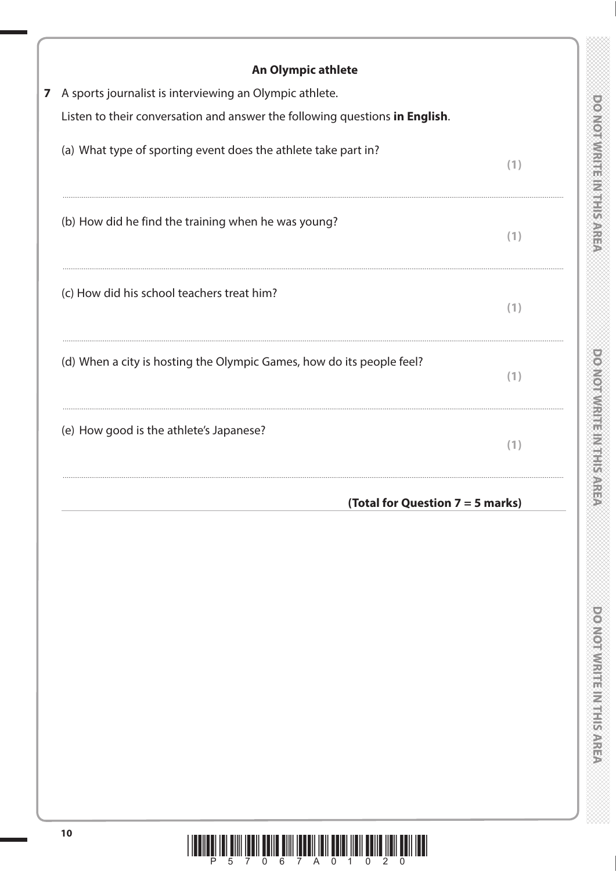| (1)                              |
|----------------------------------|
| (1)                              |
| (1)                              |
| (1)                              |
| (1)                              |
| (Total for Question 7 = 5 marks) |
|                                  |
|                                  |

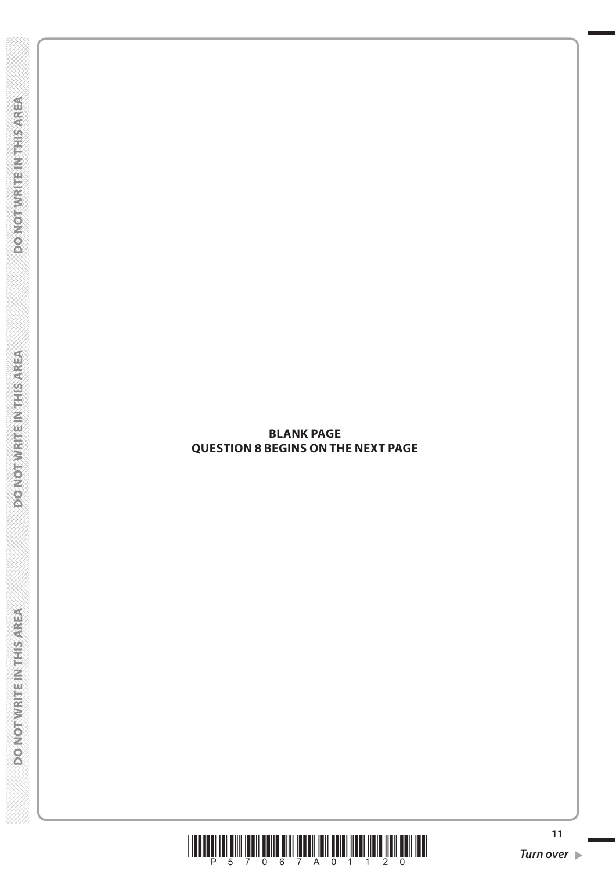#### **BLANK PAGE QUESTION 8 BEGINS ON THE NEXT PAGE**

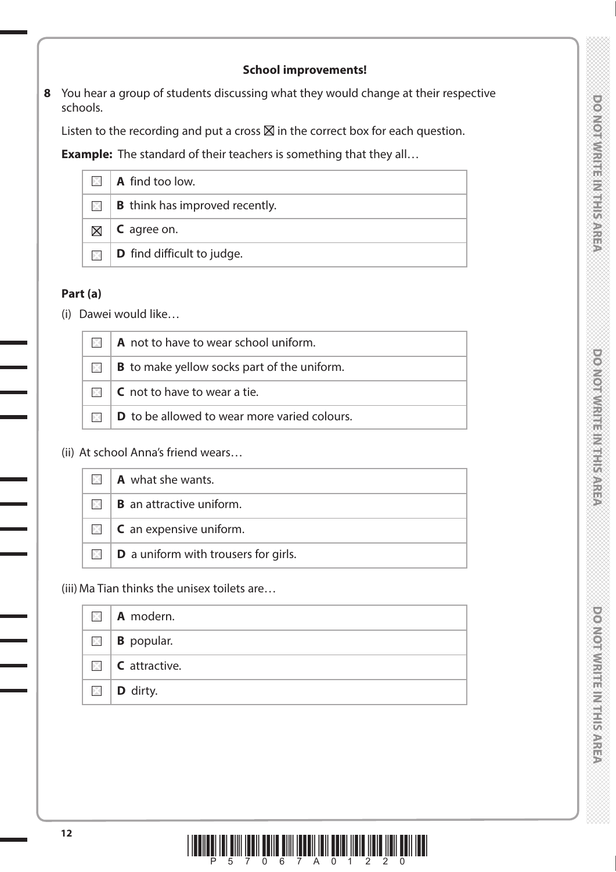## DO NOT WRITE IN THIS AREA

#### **School improvements!**

**8** You hear a group of students discussing what they would change at their respective schools.

Listen to the recording and put a cross  $\boxtimes$  in the correct box for each question.

**Example:** The standard of their teachers is something that they all...

| $\mathbb{X}$ | <b>A</b> find too low.                |
|--------------|---------------------------------------|
| $\times$     | <b>B</b> think has improved recently. |
| $\boxtimes$  | C agree on.                           |
| $\times$     | D find difficult to judge.            |

#### **Part (a)**

(i) Dawei would like…

|              | A not to have to wear school uniform.               |
|--------------|-----------------------------------------------------|
| $\mathbb{R}$ | <b>B</b> to make yellow socks part of the uniform.  |
|              |                                                     |
|              | <b>D</b> to be allowed to wear more varied colours. |

#### (ii) At school Anna's friend wears…

| $\mathbb{R}$ | <b>A</b> what she wants.                            |
|--------------|-----------------------------------------------------|
| ×            | <b>B</b> an attractive uniform.                     |
| $\mathbb{R}$ | $\mathsf{C}$ an expensive uniform.                  |
| $\times$     | $\vert$ <b>D</b> a uniform with trousers for girls. |

(iii) Ma Tian thinks the unisex toilets are…

| $\times$ 1 | A modern.                             |
|------------|---------------------------------------|
|            | $\mathbb{Z}$   <b>B</b> popular.      |
|            | $\blacksquare$   <b>C</b> attractive. |
| $\times$   | <b>D</b> dirty.                       |

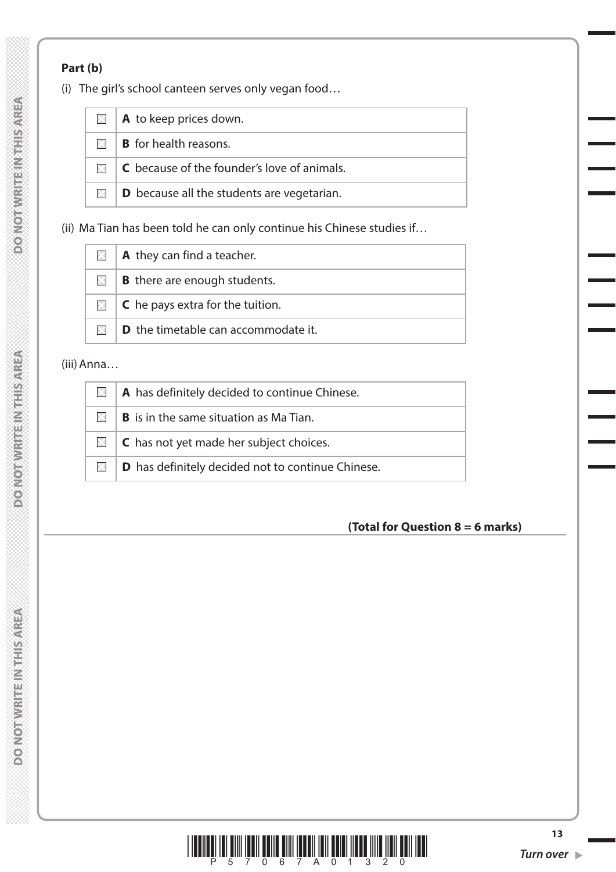## **Part (b)**

(i) The girl's school canteen serves only vegan food…

| $\mathbb{R}$ | A to keep prices down.                                           |
|--------------|------------------------------------------------------------------|
| ÞЯ           | $\vert$ <b>B</b> for health reasons.                             |
| ÞЗ           | $\mathsf{C}\mathsf{C}$ because of the founder's love of animals. |
| ÞЗ           | $\vert$ <b>D</b> because all the students are vegetarian.        |
|              |                                                                  |

(ii) Ma Tian has been told he can only continue his Chinese studies if…

|              | A they can find a teacher.                 |
|--------------|--------------------------------------------|
| ÞК           | <b>B</b> there are enough students.        |
| $\mathbb{R}$ | <b>C</b> he pays extra for the tuition.    |
|              | <b>D</b> the timetable can accommodate it. |

#### (iii) Anna…

| $\mathbb{X}^+$ | A has definitely decided to continue Chinese.                     |
|----------------|-------------------------------------------------------------------|
| $\mathbb{N}$ - | <b>B</b> is in the same situation as Ma Tian.                     |
|                | $\Box$ $\Box$ $\Box$ $\Box$ has not yet made her subject choices. |
| $\mathbb{E}$   | <b>D</b> has definitely decided not to continue Chinese.          |

### **(Total for Question 8 = 6 marks)**

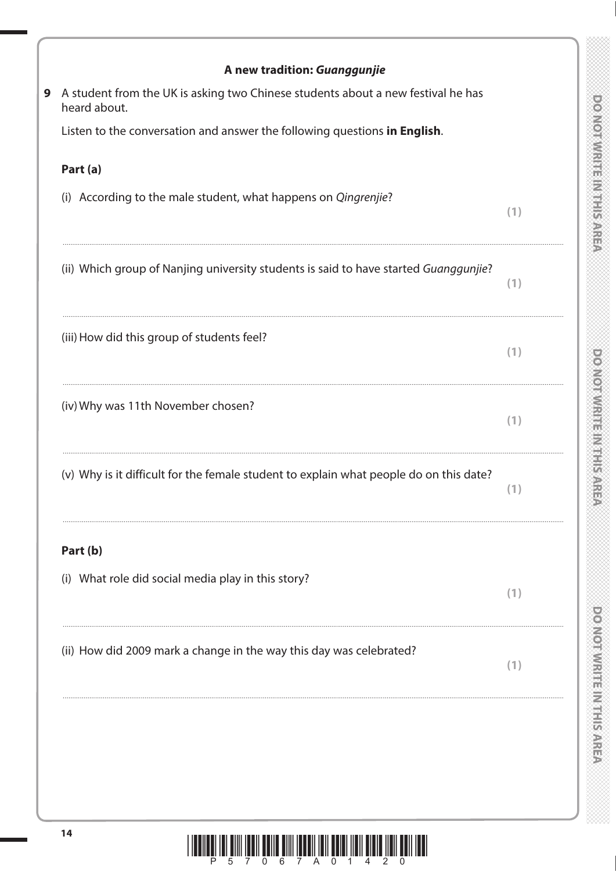| Listen to the conversation and answer the following questions in English.<br>Part (a)<br>According to the male student, what happens on Qingrenjie?<br>(i)<br>(ii) Which group of Nanjing university students is said to have started Guanggunjie?<br>(iii) How did this group of students feel? | (1) |
|--------------------------------------------------------------------------------------------------------------------------------------------------------------------------------------------------------------------------------------------------------------------------------------------------|-----|
|                                                                                                                                                                                                                                                                                                  |     |
|                                                                                                                                                                                                                                                                                                  |     |
|                                                                                                                                                                                                                                                                                                  |     |
|                                                                                                                                                                                                                                                                                                  | (1) |
|                                                                                                                                                                                                                                                                                                  | (1) |
| (iv) Why was 11th November chosen?                                                                                                                                                                                                                                                               | (1) |
| (v) Why is it difficult for the female student to explain what people do on this date?                                                                                                                                                                                                           | (1) |
| Part (b)                                                                                                                                                                                                                                                                                         |     |
| (i) What role did social media play in this story?                                                                                                                                                                                                                                               | (1) |
| (ii) How did 2009 mark a change in the way this day was celebrated?                                                                                                                                                                                                                              | (1) |

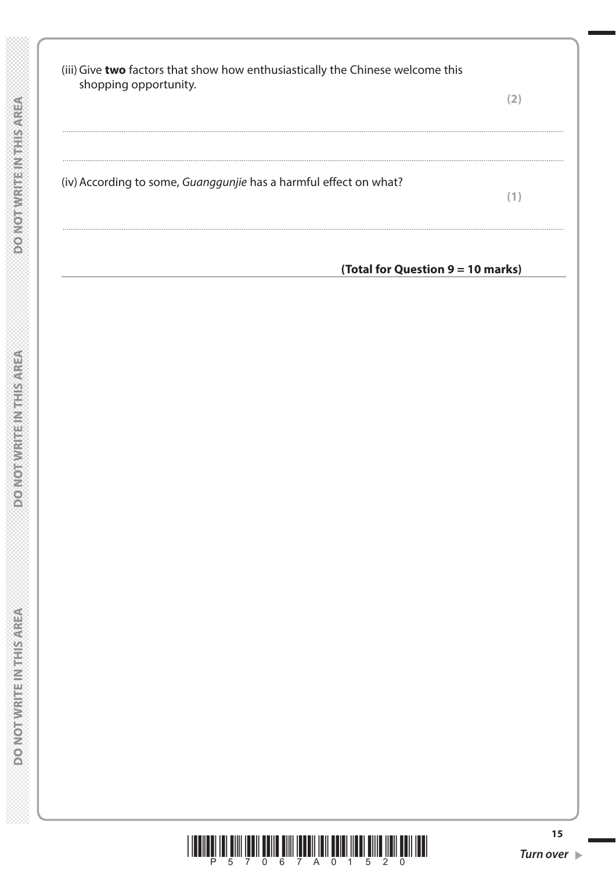**DOMOTAVRITE INTHIS AREA** 

(iii) Give two factors that show how enthusiastically the Chinese welcome this shopping opportunity.

 $(2)$ 

(iv) According to some, Guanggunjie has a harmful effect on what?

 $(1)$ 

### (Total for Question 9 = 10 marks)



 $15$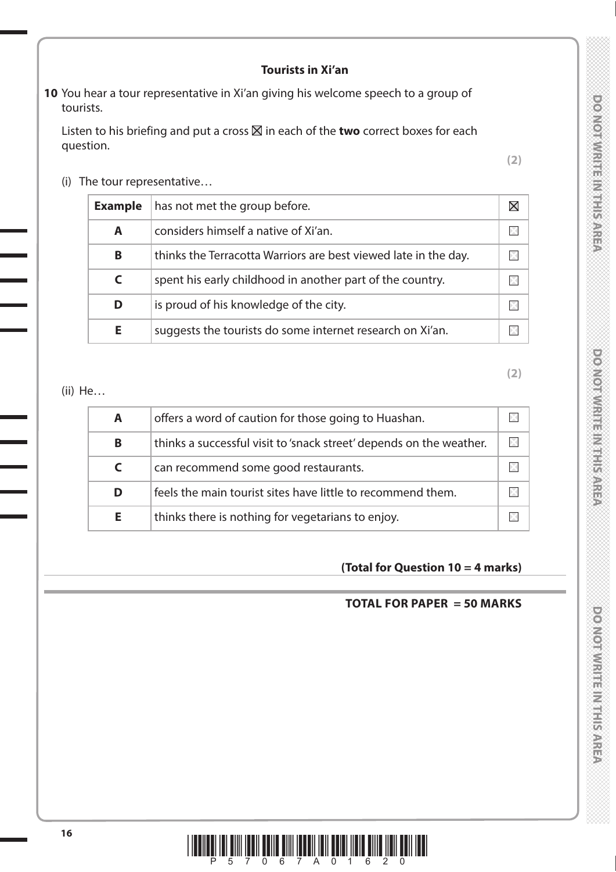**(2)**

**(2)**

DO NOT WRITE IN THIS AREA

**10** You hear a tour representative in Xi'an giving his welcome speech to a group of tourists.

Listen to his briefing and put a cross  $\boxtimes$  in each of the **two** correct boxes for each question.

#### (i) The tour representative…

| has not met the group before.                                   |  |
|-----------------------------------------------------------------|--|
| considers himself a native of Xi'an.                            |  |
| thinks the Terracotta Warriors are best viewed late in the day. |  |
| spent his early childhood in another part of the country.       |  |
| is proud of his knowledge of the city.                          |  |
| suggests the tourists do some internet research on Xi'an.       |  |
|                                                                 |  |

(ii) He…

| A  | offers a word of caution for those going to Huashan.                |  |
|----|---------------------------------------------------------------------|--|
| B  | thinks a successful visit to 'snack street' depends on the weather. |  |
| C  | can recommend some good restaurants.                                |  |
| D  | feels the main tourist sites have little to recommend them.         |  |
| Е. | thinks there is nothing for vegetarians to enjoy.                   |  |

## **(Total for Question 10 = 4 marks)**

### **TOTAL FOR PAPER = 50 MARKS**

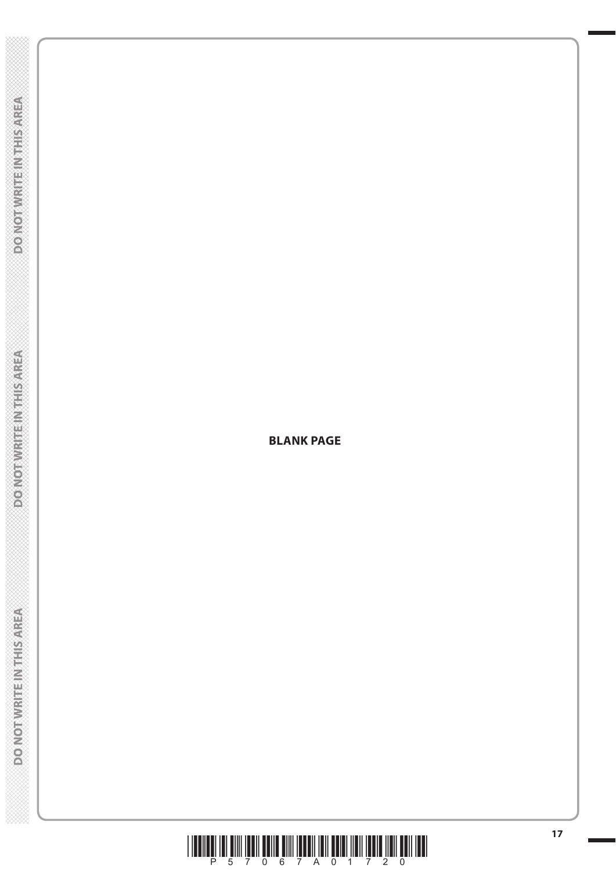**BLANK PAGE**

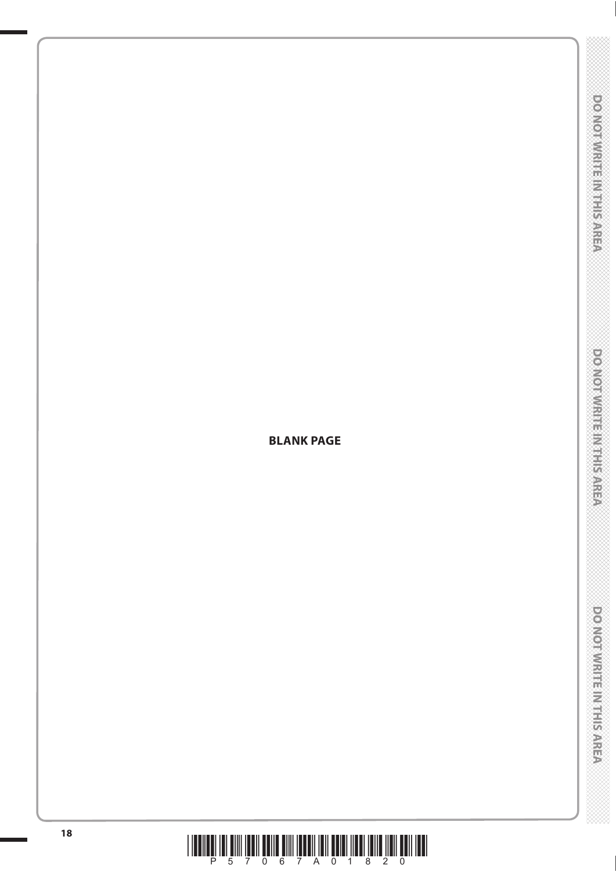

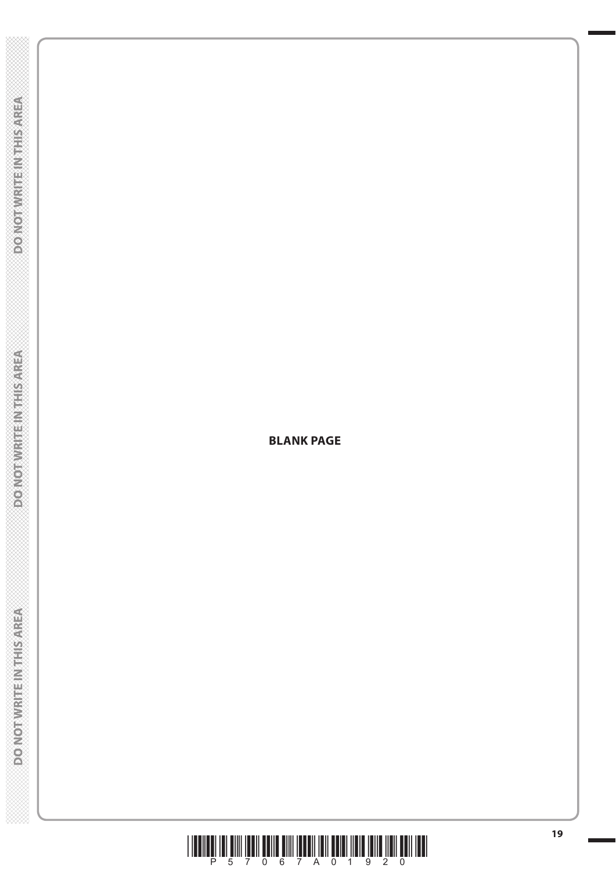**BLANK PAGE**